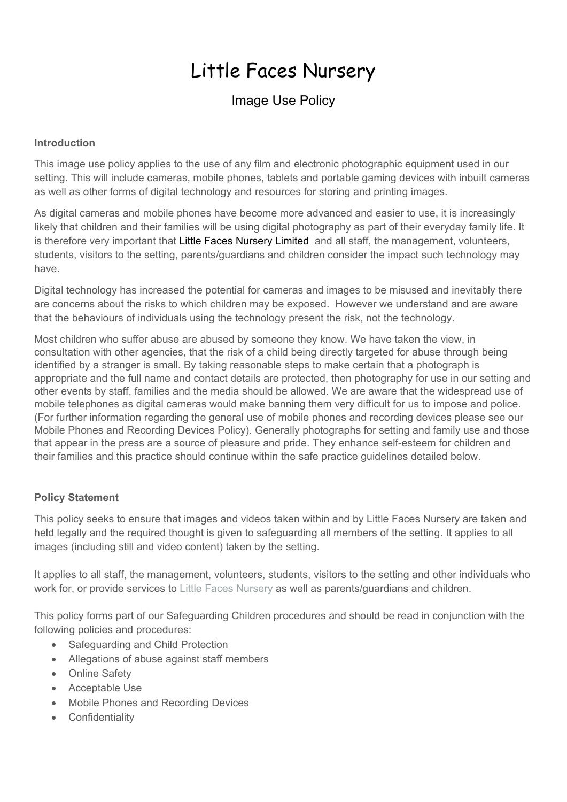# Little Faces Nursery

# Image Use Policy

#### **Introduction**

This image use policy applies to the use of any film and electronic photographic equipment used in our setting. This will include cameras, mobile phones, tablets and portable gaming devices with inbuilt cameras as well as other forms of digital technology and resources for storing and printing images.

As digital cameras and mobile phones have become more advanced and easier to use, it is increasingly likely that children and their families will be using digital photography as part of their everyday family life. It is therefore very important that Little Faces Nursery Limited and all staff, the management, volunteers, students, visitors to the setting, parents/guardians and children consider the impact such technology may have.

Digital technology has increased the potential for cameras and images to be misused and inevitably there are concerns about the risks to which children may be exposed. However we understand and are aware that the behaviours of individuals using the technology present the risk, not the technology.

Most children who suffer abuse are abused by someone they know. We have taken the view, in consultation with other agencies, that the risk of a child being directly targeted for abuse through being identified by a stranger is small. By taking reasonable steps to make certain that a photograph is appropriate and the full name and contact details are protected, then photography for use in our setting and other events by staff, families and the media should be allowed. We are aware that the widespread use of mobile telephones as digital cameras would make banning them very difficult for us to impose and police. (For further information regarding the general use of mobile phones and recording devices please see our Mobile Phones and Recording Devices Policy). Generally photographs for setting and family use and those that appear in the press are a source of pleasure and pride. They enhance self-esteem for children and their families and this practice should continue within the safe practice guidelines detailed below.

#### **Policy Statement**

This policy seeks to ensure that images and videos taken within and by Little Faces Nursery are taken and held legally and the required thought is given to safeguarding all members of the setting. It applies to all images (including still and video content) taken by the setting.

It applies to all staff, the management, volunteers, students, visitors to the setting and other individuals who work for, or provide services to Little Faces Nursery as well as parents/guardians and children.

This policy forms part of our Safeguarding Children procedures and should be read in conjunction with the following policies and procedures:

- Safeguarding and Child Protection
- Allegations of abuse against staff members
- Online Safety
- Acceptable Use
- Mobile Phones and Recording Devices
- Confidentiality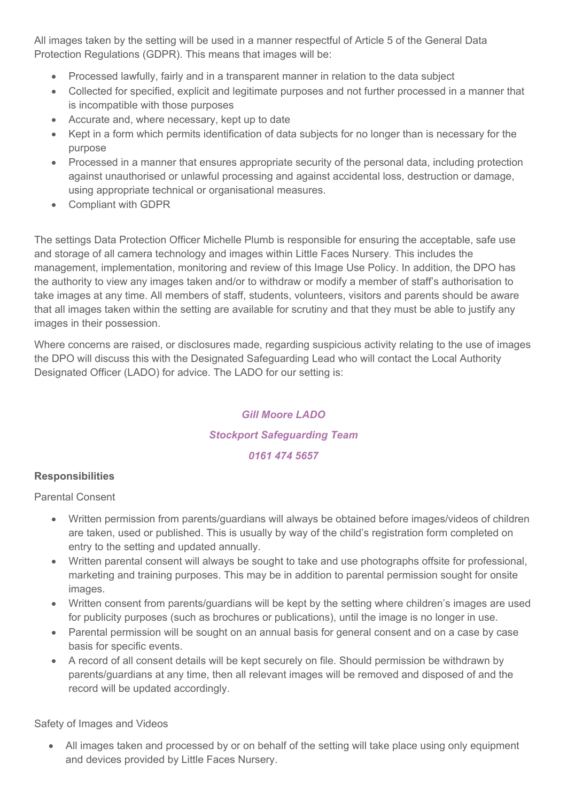All images taken by the setting will be used in a manner respectful of Article 5 of the General Data Protection Regulations (GDPR). This means that images will be:

- Processed lawfully, fairly and in a transparent manner in relation to the data subject
- Collected for specified, explicit and legitimate purposes and not further processed in a manner that is incompatible with those purposes
- Accurate and, where necessary, kept up to date
- Kept in a form which permits identification of data subjects for no longer than is necessary for the purpose
- Processed in a manner that ensures appropriate security of the personal data, including protection against unauthorised or unlawful processing and against accidental loss, destruction or damage, using appropriate technical or organisational measures.
- Compliant with GDPR

The settings Data Protection Officer Michelle Plumb is responsible for ensuring the acceptable, safe use and storage of all camera technology and images within Little Faces Nursery*.* This includes the management, implementation, monitoring and review of this Image Use Policy. In addition, the DPO has the authority to view any images taken and/or to withdraw or modify a member of staff's authorisation to take images at any time. All members of staff, students, volunteers, visitors and parents should be aware that all images taken within the setting are available for scrutiny and that they must be able to justify any images in their possession.

Where concerns are raised, or disclosures made, regarding suspicious activity relating to the use of images the DPO will discuss this with the Designated Safeguarding Lead who will contact the Local Authority Designated Officer (LADO) for advice. The LADO for our setting is:

# *Gill Moore LADO*

# *Stockport Safeguarding Team*

#### *0161 474 5657*

#### **Responsibilities**

Parental Consent

- Written permission from parents/guardians will always be obtained before images/videos of children are taken, used or published. This is usually by way of the child's registration form completed on entry to the setting and updated annually.
- Written parental consent will always be sought to take and use photographs offsite for professional, marketing and training purposes. This may be in addition to parental permission sought for onsite images.
- Written consent from parents/guardians will be kept by the setting where children's images are used for publicity purposes (such as brochures or publications), until the image is no longer in use.
- Parental permission will be sought on an annual basis for general consent and on a case by case basis for specific events.
- A record of all consent details will be kept securely on file. Should permission be withdrawn by parents/guardians at any time, then all relevant images will be removed and disposed of and the record will be updated accordingly.

Safety of Images and Videos

 All images taken and processed by or on behalf of the setting will take place using only equipment and devices provided by Little Faces Nursery.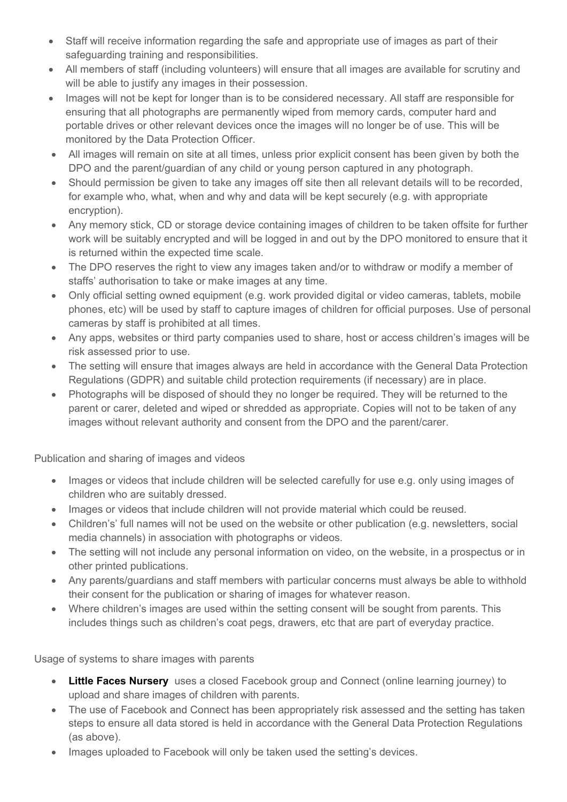- Staff will receive information regarding the safe and appropriate use of images as part of their safeguarding training and responsibilities.
- All members of staff (including volunteers) will ensure that all images are available for scrutiny and will be able to justify any images in their possession.
- Images will not be kept for longer than is to be considered necessary. All staff are responsible for ensuring that all photographs are permanently wiped from memory cards, computer hard and portable drives or other relevant devices once the images will no longer be of use. This will be monitored by the Data Protection Officer.
- All images will remain on site at all times, unless prior explicit consent has been given by both the DPO and the parent/guardian of any child or young person captured in any photograph.
- Should permission be given to take any images off site then all relevant details will to be recorded, for example who, what, when and why and data will be kept securely (e.g. with appropriate encryption).
- Any memory stick, CD or storage device containing images of children to be taken offsite for further work will be suitably encrypted and will be logged in and out by the DPO monitored to ensure that it is returned within the expected time scale.
- The DPO reserves the right to view any images taken and/or to withdraw or modify a member of staffs' authorisation to take or make images at any time.
- Only official setting owned equipment (e.g. work provided digital or video cameras, tablets, mobile phones, etc) will be used by staff to capture images of children for official purposes. Use of personal cameras by staff is prohibited at all times.
- Any apps, websites or third party companies used to share, host or access children's images will be risk assessed prior to use.
- The setting will ensure that images always are held in accordance with the General Data Protection Regulations (GDPR) and suitable child protection requirements (if necessary) are in place.
- Photographs will be disposed of should they no longer be required. They will be returned to the parent or carer, deleted and wiped or shredded as appropriate. Copies will not to be taken of any images without relevant authority and consent from the DPO and the parent/carer.

Publication and sharing of images and videos

- Images or videos that include children will be selected carefully for use e.g. only using images of children who are suitably dressed.
- Images or videos that include children will not provide material which could be reused.
- Children's' full names will not be used on the website or other publication (e.g. newsletters, social media channels) in association with photographs or videos.
- The setting will not include any personal information on video, on the website, in a prospectus or in other printed publications.
- Any parents/guardians and staff members with particular concerns must always be able to withhold their consent for the publication or sharing of images for whatever reason.
- Where children's images are used within the setting consent will be sought from parents. This includes things such as children's coat pegs, drawers, etc that are part of everyday practice.

Usage of systems to share images with parents

- **Little Faces Nursery** uses a closed Facebook group and Connect (online learning journey) to upload and share images of children with parents.
- The use of Facebook and Connect has been appropriately risk assessed and the setting has taken steps to ensure all data stored is held in accordance with the General Data Protection Regulations (as above).
- Images uploaded to Facebook will only be taken used the setting's devices.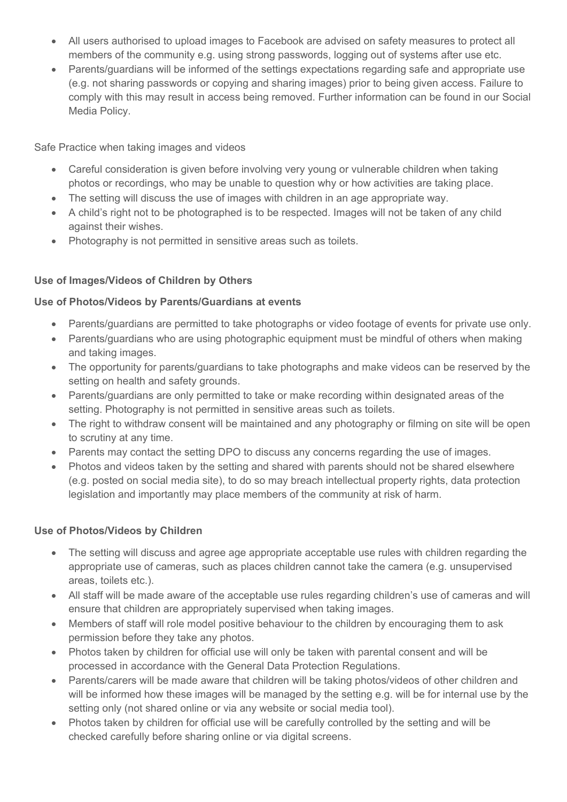- All users authorised to upload images to Facebook are advised on safety measures to protect all members of the community e.g. using strong passwords, logging out of systems after use etc.
- Parents/guardians will be informed of the settings expectations regarding safe and appropriate use (e.g. not sharing passwords or copying and sharing images) prior to being given access. Failure to comply with this may result in access being removed. Further information can be found in our Social Media Policy.

Safe Practice when taking images and videos

- Careful consideration is given before involving very young or vulnerable children when taking photos or recordings, who may be unable to question why or how activities are taking place.
- The setting will discuss the use of images with children in an age appropriate way.
- A child's right not to be photographed is to be respected. Images will not be taken of any child against their wishes.
- Photography is not permitted in sensitive areas such as toilets.

# **Use of Images/Videos of Children by Others**

# **Use of Photos/Videos by Parents/Guardians at events**

- Parents/guardians are permitted to take photographs or video footage of events for private use only.
- Parents/guardians who are using photographic equipment must be mindful of others when making and taking images.
- The opportunity for parents/guardians to take photographs and make videos can be reserved by the setting on health and safety grounds.
- Parents/guardians are only permitted to take or make recording within designated areas of the setting. Photography is not permitted in sensitive areas such as toilets.
- The right to withdraw consent will be maintained and any photography or filming on site will be open to scrutiny at any time.
- Parents may contact the setting DPO to discuss any concerns regarding the use of images.
- Photos and videos taken by the setting and shared with parents should not be shared elsewhere (e.g. posted on social media site), to do so may breach intellectual property rights, data protection legislation and importantly may place members of the community at risk of harm.

#### **Use of Photos/Videos by Children**

- The setting will discuss and agree age appropriate acceptable use rules with children regarding the appropriate use of cameras, such as places children cannot take the camera (e.g. unsupervised areas, toilets etc.).
- All staff will be made aware of the acceptable use rules regarding children's use of cameras and will ensure that children are appropriately supervised when taking images.
- Members of staff will role model positive behaviour to the children by encouraging them to ask permission before they take any photos.
- Photos taken by children for official use will only be taken with parental consent and will be processed in accordance with the General Data Protection Regulations.
- Parents/carers will be made aware that children will be taking photos/videos of other children and will be informed how these images will be managed by the setting e.g. will be for internal use by the setting only (not shared online or via any website or social media tool).
- Photos taken by children for official use will be carefully controlled by the setting and will be checked carefully before sharing online or via digital screens.